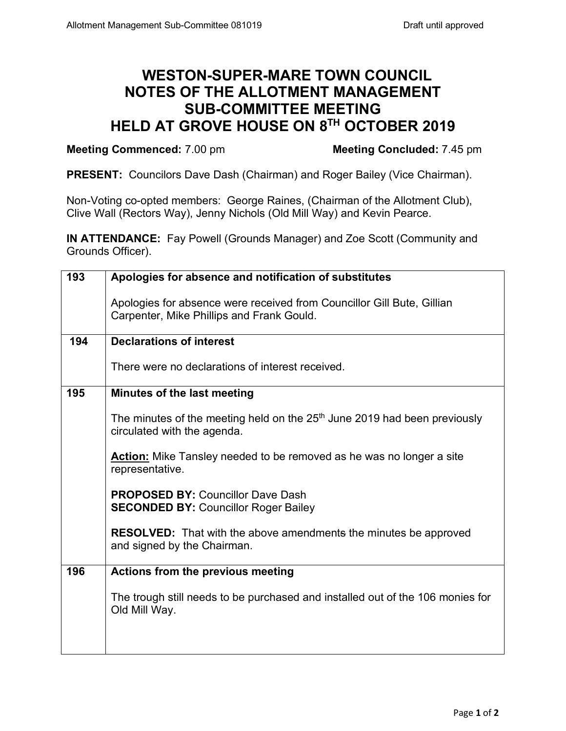## **WESTON-SUPER-MARE TOWN COUNCIL NOTES OF THE ALLOTMENT MANAGEMENT SUB-COMMITTEE MEETING HELD AT GROVE HOUSE ON 8TH OCTOBER 2019**

## **Meeting Commenced:** 7.00 pm **Meeting Concluded:** 7.45 pm

**PRESENT:** Councilors Dave Dash (Chairman) and Roger Bailey (Vice Chairman).

Non-Voting co-opted members: George Raines, (Chairman of the Allotment Club), Clive Wall (Rectors Way), Jenny Nichols (Old Mill Way) and Kevin Pearce.

**IN ATTENDANCE:** Fay Powell (Grounds Manager) and Zoe Scott (Community and Grounds Officer).

| 193 | Apologies for absence and notification of substitutes                                                               |  |  |  |  |
|-----|---------------------------------------------------------------------------------------------------------------------|--|--|--|--|
|     | Apologies for absence were received from Councillor Gill Bute, Gillian<br>Carpenter, Mike Phillips and Frank Gould. |  |  |  |  |
| 194 | <b>Declarations of interest</b>                                                                                     |  |  |  |  |
|     | There were no declarations of interest received.                                                                    |  |  |  |  |
| 195 | Minutes of the last meeting                                                                                         |  |  |  |  |
|     | The minutes of the meeting held on the $25th$ June 2019 had been previously<br>circulated with the agenda.          |  |  |  |  |
|     | <b>Action:</b> Mike Tansley needed to be removed as he was no longer a site<br>representative.                      |  |  |  |  |
|     | <b>PROPOSED BY: Councillor Dave Dash</b><br><b>SECONDED BY: Councillor Roger Bailey</b>                             |  |  |  |  |
|     | <b>RESOLVED:</b> That with the above amendments the minutes be approved<br>and signed by the Chairman.              |  |  |  |  |
| 196 | Actions from the previous meeting                                                                                   |  |  |  |  |
|     | The trough still needs to be purchased and installed out of the 106 monies for<br>Old Mill Way.                     |  |  |  |  |
|     |                                                                                                                     |  |  |  |  |